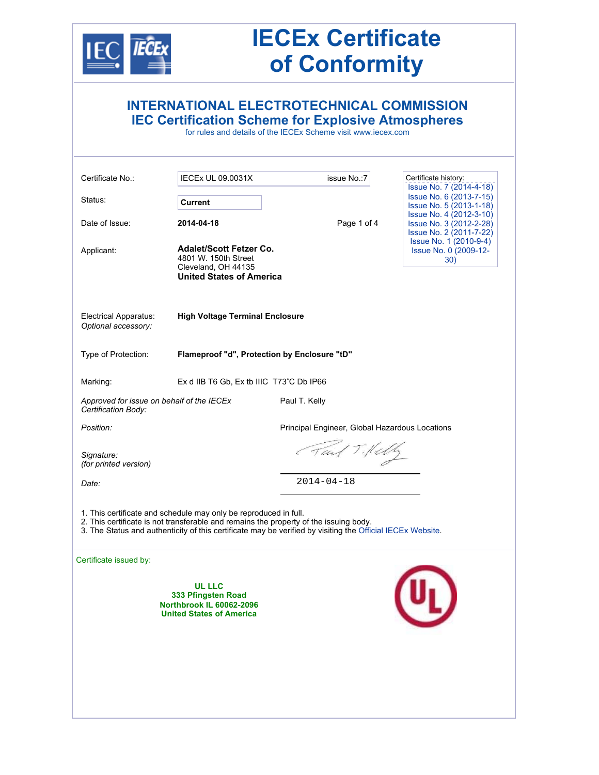

# **IECEx Certificate of Conformity**

|                                                                  |                                                                                                                                                                              | <b>INTERNATIONAL ELECTROTECHNICAL COMMISSION</b><br><b>IEC Certification Scheme for Explosive Atmospheres</b><br>for rules and details of the IECEx Scheme visit www.iecex.com                      |                                                                                                                                                                                                                                                  |  |  |
|------------------------------------------------------------------|------------------------------------------------------------------------------------------------------------------------------------------------------------------------------|-----------------------------------------------------------------------------------------------------------------------------------------------------------------------------------------------------|--------------------------------------------------------------------------------------------------------------------------------------------------------------------------------------------------------------------------------------------------|--|--|
| Certificate No.:<br>Status:<br>Date of Issue:<br>Applicant:      | <b>IECEX UL 09.0031X</b><br><b>Current</b><br>2014-04-18<br><b>Adalet/Scott Fetzer Co.</b><br>4801 W. 150th Street<br>Cleveland, OH 44135<br><b>United States of America</b> | issue No.: 7<br>Page 1 of 4                                                                                                                                                                         | Certificate history:<br>Issue No. 7 (2014-4-18)<br>Issue No. 6 (2013-7-15)<br>Issue No. 5 (2013-1-18)<br>Issue No. 4 (2012-3-10)<br>Issue No. 3 (2012-2-28)<br>Issue No. 2 (2011-7-22)<br>Issue No. 1 (2010-9-4)<br>Issue No. 0 (2009-12-<br>30) |  |  |
| Electrical Apparatus:<br>Optional accessory:                     | <b>High Voltage Terminal Enclosure</b>                                                                                                                                       |                                                                                                                                                                                                     |                                                                                                                                                                                                                                                  |  |  |
| Type of Protection:                                              | Flameproof "d", Protection by Enclosure "tD"                                                                                                                                 |                                                                                                                                                                                                     |                                                                                                                                                                                                                                                  |  |  |
| Marking:                                                         | Ex d IIB T6 Gb, Ex tb IIIC T73°C Db IP66                                                                                                                                     |                                                                                                                                                                                                     |                                                                                                                                                                                                                                                  |  |  |
| Approved for issue on behalf of the IECEx<br>Certification Body: |                                                                                                                                                                              | Paul T. Kelly                                                                                                                                                                                       |                                                                                                                                                                                                                                                  |  |  |
| Position:                                                        |                                                                                                                                                                              | Principal Engineer, Global Hazardous Locations                                                                                                                                                      |                                                                                                                                                                                                                                                  |  |  |
| Signature:<br>(for printed version)                              |                                                                                                                                                                              | Tail Tillely                                                                                                                                                                                        |                                                                                                                                                                                                                                                  |  |  |
| Date:                                                            |                                                                                                                                                                              | $2014 - 04 - 18$                                                                                                                                                                                    |                                                                                                                                                                                                                                                  |  |  |
|                                                                  | 1. This certificate and schedule may only be reproduced in full.                                                                                                             | 2. This certificate is not transferable and remains the property of the issuing body.<br>3. The Status and authenticity of this certificate may be verified by visiting the Official IECEx Website. |                                                                                                                                                                                                                                                  |  |  |
| Certificate issued by:                                           | <b>UL LLC</b><br>333 Pfingsten Road<br><b>Northbrook IL 60062-2096</b><br><b>United States of America</b>                                                                    |                                                                                                                                                                                                     |                                                                                                                                                                                                                                                  |  |  |
|                                                                  |                                                                                                                                                                              |                                                                                                                                                                                                     |                                                                                                                                                                                                                                                  |  |  |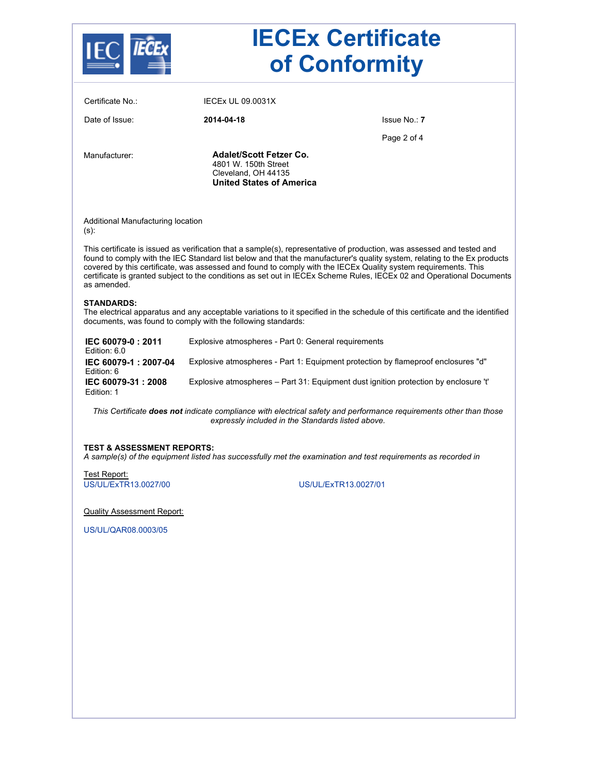|                                              | <b>IECEx Certificate</b><br>of Conformity                                                                        |                                                                                                                                                                                                                                                                                                                                                                                                                                                                                               |  |  |  |
|----------------------------------------------|------------------------------------------------------------------------------------------------------------------|-----------------------------------------------------------------------------------------------------------------------------------------------------------------------------------------------------------------------------------------------------------------------------------------------------------------------------------------------------------------------------------------------------------------------------------------------------------------------------------------------|--|--|--|
| Certificate No.:                             | <b>IECEX UL 09.0031X</b>                                                                                         |                                                                                                                                                                                                                                                                                                                                                                                                                                                                                               |  |  |  |
| Date of Issue:                               | 2014-04-18                                                                                                       | Issue No.: 7                                                                                                                                                                                                                                                                                                                                                                                                                                                                                  |  |  |  |
|                                              |                                                                                                                  | Page 2 of 4                                                                                                                                                                                                                                                                                                                                                                                                                                                                                   |  |  |  |
| Manufacturer:                                | <b>Adalet/Scott Fetzer Co.</b><br>4801 W. 150th Street<br>Cleveland, OH 44135<br><b>United States of America</b> |                                                                                                                                                                                                                                                                                                                                                                                                                                                                                               |  |  |  |
| Additional Manufacturing location<br>$(s)$ : |                                                                                                                  |                                                                                                                                                                                                                                                                                                                                                                                                                                                                                               |  |  |  |
| as amended.                                  |                                                                                                                  | This certificate is issued as verification that a sample(s), representative of production, was assessed and tested and<br>found to comply with the IEC Standard list below and that the manufacturer's quality system, relating to the Ex products<br>covered by this certificate, was assessed and found to comply with the IECEx Quality system requirements. This<br>certificate is granted subject to the conditions as set out in IECEx Scheme Rules, IECEx 02 and Operational Documents |  |  |  |
| <b>STANDARDS:</b>                            | documents, was found to comply with the following standards:                                                     | The electrical apparatus and any acceptable variations to it specified in the schedule of this certificate and the identified                                                                                                                                                                                                                                                                                                                                                                 |  |  |  |
| IEC 60079-0: 2011<br>Edition: 6.0            | Explosive atmospheres - Part 0: General requirements                                                             |                                                                                                                                                                                                                                                                                                                                                                                                                                                                                               |  |  |  |
| IEC 60079-1: 2007-04<br>Edition: 6           |                                                                                                                  | Explosive atmospheres - Part 1: Equipment protection by flameproof enclosures "d"                                                                                                                                                                                                                                                                                                                                                                                                             |  |  |  |
| IEC 60079-31: 2008<br>Edition: 1             | Explosive atmospheres - Part 31: Equipment dust ignition protection by enclosure 't'                             |                                                                                                                                                                                                                                                                                                                                                                                                                                                                                               |  |  |  |
|                                              | expressly included in the Standards listed above.                                                                | This Certificate does not indicate compliance with electrical safety and performance requirements other than those                                                                                                                                                                                                                                                                                                                                                                            |  |  |  |
| <b>TEST &amp; ASSESSMENT REPORTS:</b>        |                                                                                                                  | A sample(s) of the equipment listed has successfully met the examination and test requirements as recorded in                                                                                                                                                                                                                                                                                                                                                                                 |  |  |  |
| Test Report:                                 |                                                                                                                  |                                                                                                                                                                                                                                                                                                                                                                                                                                                                                               |  |  |  |
| US/UL/ExTR13.0027/00                         |                                                                                                                  | US/UL/ExTR13.0027/01                                                                                                                                                                                                                                                                                                                                                                                                                                                                          |  |  |  |
| <b>Quality Assessment Report:</b>            |                                                                                                                  |                                                                                                                                                                                                                                                                                                                                                                                                                                                                                               |  |  |  |
| US/UL/QAR08.0003/05                          |                                                                                                                  |                                                                                                                                                                                                                                                                                                                                                                                                                                                                                               |  |  |  |
|                                              |                                                                                                                  |                                                                                                                                                                                                                                                                                                                                                                                                                                                                                               |  |  |  |
|                                              |                                                                                                                  |                                                                                                                                                                                                                                                                                                                                                                                                                                                                                               |  |  |  |
|                                              |                                                                                                                  |                                                                                                                                                                                                                                                                                                                                                                                                                                                                                               |  |  |  |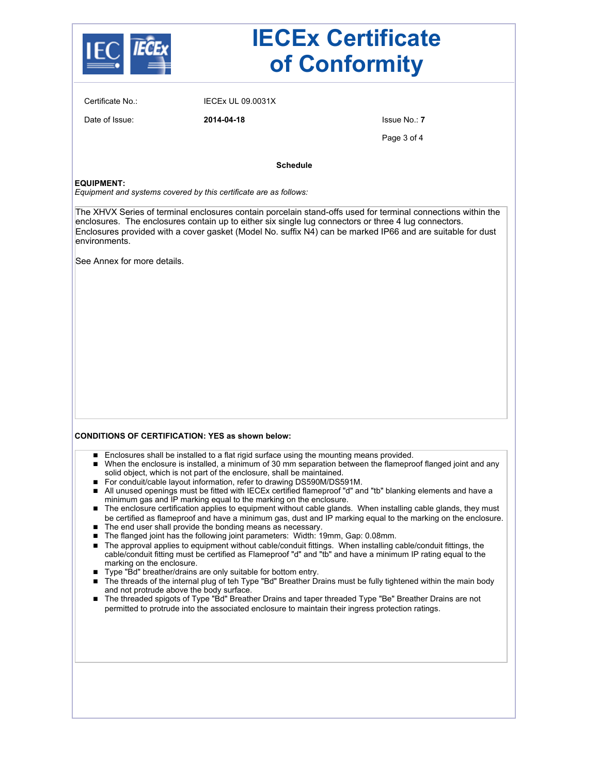

## **IECEx Certificate of Conformity**

Certificate No.: IECEx UL 09.0031X

Date of Issue: **2014-04-18** Issue No.: **7**

Page 3 of 4

**Schedule**

#### **EQUIPMENT:**

*Equipment and systems covered by this certificate are as follows:*

The XHVX Series of terminal enclosures contain porcelain stand-offs used for terminal connections within the enclosures. The enclosures contain up to either six single lug connectors or three 4 lug connectors. Enclosures provided with a cover gasket (Model No. suffix N4) can be marked IP66 and are suitable for dust environments.

See Annex for more details.

#### **CONDITIONS OF CERTIFICATION: YES as shown below:**

- **Enclosures shall be installed to a flat rigid surface using the mounting means provided.**
- When the enclosure is installed, a minimum of 30 mm separation between the flameproof flanged joint and any solid object, which is not part of the enclosure, shall be maintained.
- For conduit/cable layout information, refer to drawing DS590M/DS591M.
- All unused openings must be fitted with IECEx certified flameproof "d" and "tb" blanking elements and have a minimum gas and IP marking equal to the marking on the enclosure.
- The enclosure certification applies to equipment without cable glands. When installing cable glands, they must be certified as flameproof and have a minimum gas, dust and IP marking equal to the marking on the enclosure.
- The end user shall provide the bonding means as necessary.
- The flanged joint has the following joint parameters: Width: 19mm, Gap: 0.08mm.
- The approval applies to equipment without cable/conduit fittings. When installing cable/conduit fittings, the cable/conduit fitting must be certified as Flameproof "d" and "tb" and have a minimum IP rating equal to the marking on the enclosure.
- Type "Bd" breather/drains are only suitable for bottom entry.
- The threads of the internal plug of teh Type "Bd" Breather Drains must be fully tightened within the main body and not protrude above the body surface.
- The threaded spigots of Type "Bd" Breather Drains and taper threaded Type "Be" Breather Drains are not permitted to protrude into the associated enclosure to maintain their ingress protection ratings.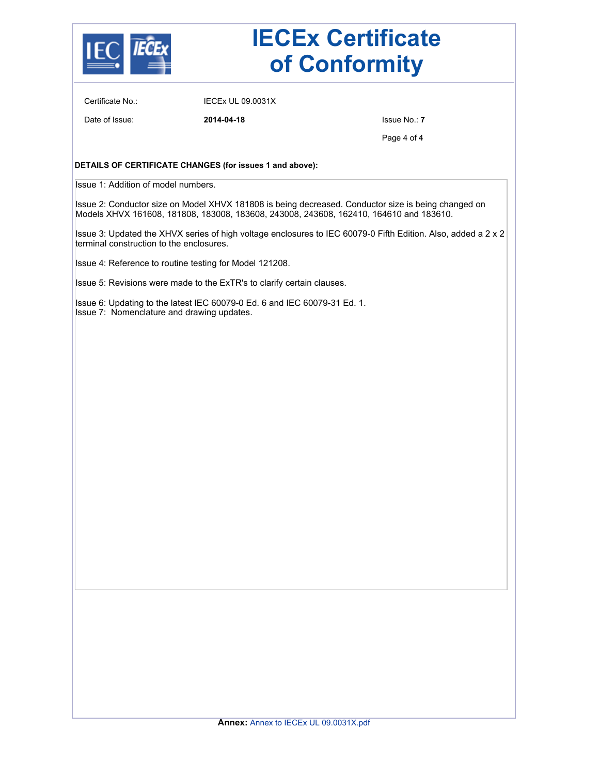

# **IECEx Certificate of Conformity**

Certificate No.: IECEx UL 09.0031X

Date of Issue: **2014-04-18** Issue No.: **7**

Page 4 of 4

#### **DETAILS OF CERTIFICATE CHANGES (for issues 1 and above):**

Issue 1: Addition of model numbers.

Issue 2: Conductor size on Model XHVX 181808 is being decreased. Conductor size is being changed on Models XHVX 161608, 181808, 183008, 183608, 243008, 243608, 162410, 164610 and 183610.

Issue 3: Updated the XHVX series of high voltage enclosures to IEC 60079-0 Fifth Edition. Also, added a 2 x 2 terminal construction to the enclosures.

Issue 4: Reference to routine testing for Model 121208.

Issue 5: Revisions were made to the ExTR's to clarify certain clauses.

Issue 6: Updating to the latest IEC 60079-0 Ed. 6 and IEC 60079-31 Ed. 1. Issue 7: Nomenclature and drawing updates.